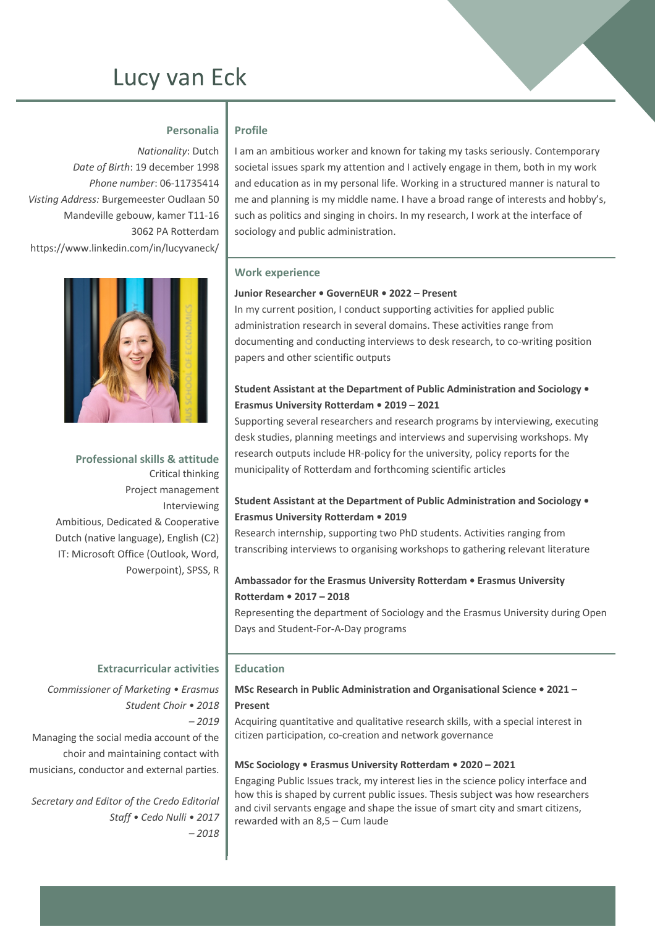# Lucy van Eck

## **Personalia**

*Nationality*: Dutch *Date of Birth*: 19 december 1998 *Phone number*: 06-11735414 *Visting Address:* Burgemeester Oudlaan 50 Mandeville gebouw, kamer T11-16 3062 PA Rotterdam https://www.linkedin.com/in/lucyvaneck/



**Professional skills & attitude** Critical thinking Project management Interviewing Ambitious, Dedicated & Cooperative Dutch (native language), English (C2) IT: Microsoft Office (Outlook, Word, Powerpoint), SPSS, R

## **Profile** I am an ambitious worker and known for taking my tasks seriously. Contemporary societal issues spark my attention and I actively engage in them, both in my work and education as in my personal life. Working in a structured manner is natural to me and planning is my middle name. I have a broad range of interests and hobby's,

such as politics and singing in choirs. In my research, I work at the interface of

#### **Work experience**

#### **Junior Researcher • GovernEUR • 2022 – Present**

sociology and public administration.

In my current position, I conduct supporting activities for applied public administration research in several domains. These activities range from documenting and conducting interviews to desk research, to co-writing position papers and other scientific outputs

## **Student Assistant at the Department of Public Administration and Sociology • Erasmus University Rotterdam • 2019 – 2021**

Supporting several researchers and research programs by interviewing, executing desk studies, planning meetings and interviews and supervising workshops. My research outputs include HR-policy for the university, policy reports for the municipality of Rotterdam and forthcoming scientific articles

## **Student Assistant at the Department of Public Administration and Sociology • Erasmus University Rotterdam • 2019**

Research internship, supporting two PhD students. Activities ranging from transcribing interviews to organising workshops to gathering relevant literature

### **Ambassador for the Erasmus University Rotterdam • Erasmus University Rotterdam • 2017 – 2018**

Representing the department of Sociology and the Erasmus University during Open Days and Student-For-A-Day programs

#### **Extracurricular activities**

*Commissioner of Marketing • Erasmus Student Choir • 2018 – 2019* Managing the social media account of the choir and maintaining contact with musicians, conductor and external parties.

*Secretary and Editor of the Credo Editorial Staff • Cedo Nulli • 2017 – 2018* 

#### **Education**

**MSc Research in Public Administration and Organisational Science • 2021 – Present**

Acquiring quantitative and qualitative research skills, with a special interest in citizen participation, co-creation and network governance

#### **MSc Sociology • Erasmus University Rotterdam • 2020 – 2021**

Engaging Public Issues track, my interest lies in the science policy interface and how this is shaped by current public issues. Thesis subject was how researchers and civil servants engage and shape the issue of smart city and smart citizens, rewarded with an 8,5 – Cum laude